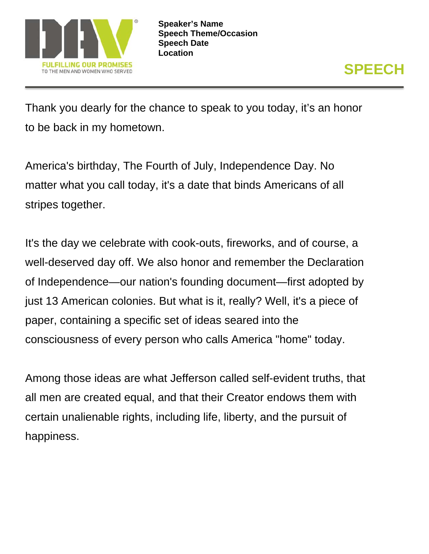

Thank you dearly for the chance to speak to you today, it's an honor to be back in my hometown.

America's birthday, The Fourth of July, Independence Day. No matter what you call today, it's a date that binds Americans of all stripes together.

It's the day we celebrate with cook-outs, fireworks, and of course, a well-deserved day off. We also honor and remember the Declaration of Independence—our nation's founding document—first adopted by just 13 American colonies. But what is it, really? Well, it's a piece of paper, containing a specific set of ideas seared into the consciousness of every person who calls America "home" today.

Among those ideas are what Jefferson called self-evident truths, that all men are created equal, and that their Creator endows them with certain unalienable rights, including life, liberty, and the pursuit of happiness.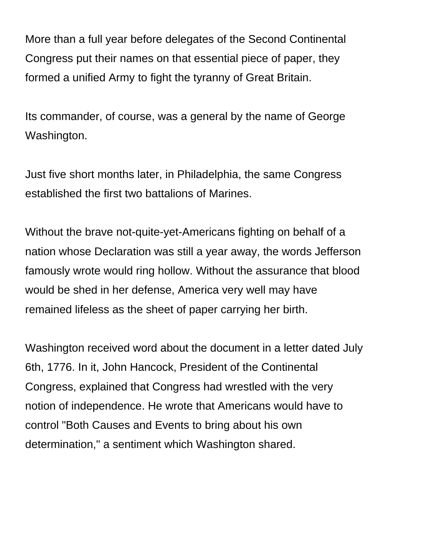More than a full year before delegates of the Second Continental Congress put their names on that essential piece of paper, they formed a unified Army to fight the tyranny of Great Britain.

Its commander, of course, was a general by the name of George Washington.

Just five short months later, in Philadelphia, the same Congress established the first two battalions of Marines.

Without the brave not-quite-yet-Americans fighting on behalf of a nation whose Declaration was still a year away, the words Jefferson famously wrote would ring hollow. Without the assurance that blood would be shed in her defense, America very well may have remained lifeless as the sheet of paper carrying her birth.

Washington received word about the document in a letter dated July 6th, 1776. In it, John Hancock, President of the Continental Congress, explained that Congress had wrestled with the very notion of independence. He wrote that Americans would have to control "Both Causes and Events to bring about his own determination," a sentiment which Washington shared.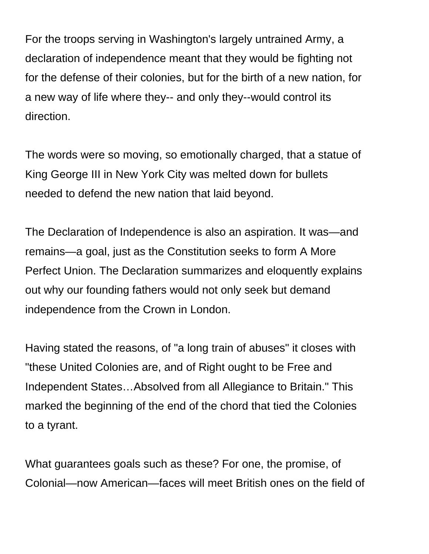For the troops serving in Washington's largely untrained Army, a declaration of independence meant that they would be fighting not for the defense of their colonies, but for the birth of a new nation, for a new way of life where they-- and only they--would control its direction.

The words were so moving, so emotionally charged, that a statue of King George III in New York City was melted down for bullets needed to defend the new nation that laid beyond.

The Declaration of Independence is also an aspiration. It was—and remains—a goal, just as the Constitution seeks to form A More Perfect Union. The Declaration summarizes and eloquently explains out why our founding fathers would not only seek but demand independence from the Crown in London.

Having stated the reasons, of "a long train of abuses" it closes with "these United Colonies are, and of Right ought to be Free and Independent States…Absolved from all Allegiance to Britain." This marked the beginning of the end of the chord that tied the Colonies to a tyrant.

What guarantees goals such as these? For one, the promise, of Colonial—now American—faces will meet British ones on the field of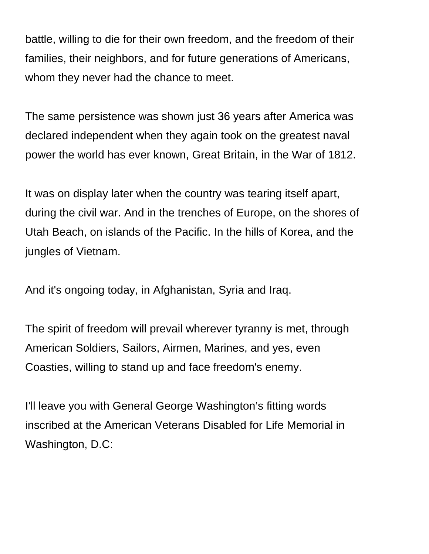battle, willing to die for their own freedom, and the freedom of their families, their neighbors, and for future generations of Americans, whom they never had the chance to meet.

The same persistence was shown just 36 years after America was declared independent when they again took on the greatest naval power the world has ever known, Great Britain, in the War of 1812.

It was on display later when the country was tearing itself apart, during the civil war. And in the trenches of Europe, on the shores of Utah Beach, on islands of the Pacific. In the hills of Korea, and the jungles of Vietnam.

And it's ongoing today, in Afghanistan, Syria and Iraq.

The spirit of freedom will prevail wherever tyranny is met, through American Soldiers, Sailors, Airmen, Marines, and yes, even Coasties, willing to stand up and face freedom's enemy.

I'll leave you with General George Washington's fitting words inscribed at the American Veterans Disabled for Life Memorial in Washington, D.C: